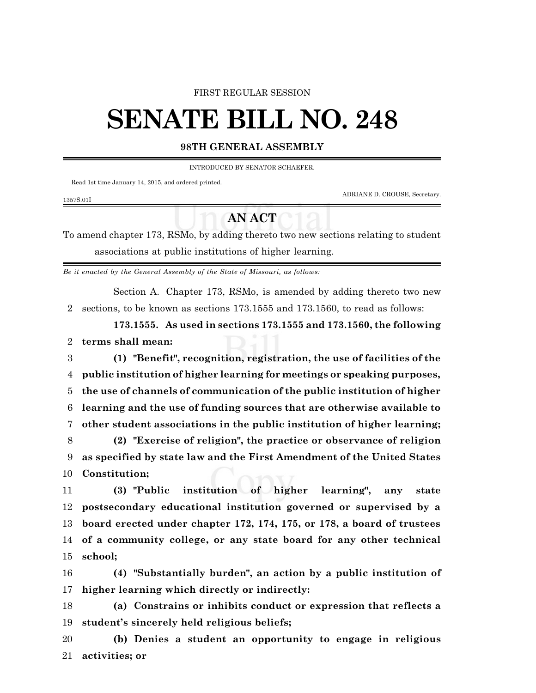### FIRST REGULAR SESSION

# **SENATE BILL NO. 248**

## **98TH GENERAL ASSEMBLY**

INTRODUCED BY SENATOR SCHAEFER.

Read 1st time January 14, 2015, and ordered printed.

ADRIANE D. CROUSE, Secretary.

#### 1357S.01I

# **AN ACT**

To amend chapter 173, RSMo, by adding thereto two new sections relating to student associations at public institutions of higher learning.

*Be it enacted by the General Assembly of the State of Missouri, as follows:*

Section A. Chapter 173, RSMo, is amended by adding thereto two new sections, to be known as sections 173.1555 and 173.1560, to read as follows:

**173.1555. As used in sections 173.1555 and 173.1560, the following terms shall mean:**

 **(1) "Benefit", recognition, registration, the use of facilities of the public institution of higher learning for meetings or speaking purposes, the use of channels of communication of the public institution of higher learning and the use of funding sources that are otherwise available to other student associations in the public institution of higher learning; (2) "Exercise of religion", the practice or observance of religion as specified by state law and the First Amendment of the United States**

**Constitution;**

 **(3) "Public institution of higher learning", any state postsecondary educational institution governed or supervised by a board erected under chapter 172, 174, 175, or 178, a board of trustees of a community college, or any state board for any other technical school;**

 **(4) "Substantially burden", an action by a public institution of higher learning which directly or indirectly:**

 **(a) Constrains or inhibits conduct or expression that reflects a student's sincerely held religious beliefs;**

 **(b) Denies a student an opportunity to engage in religious activities; or**